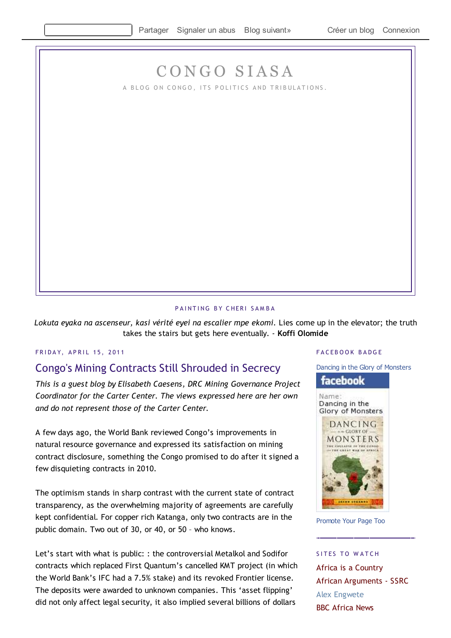# CONGO SIASA

A BLOG ON CONGO, ITS POLITICS AND TRIBULATIONS.

#### PAINTING BY CHERI SAMBA

Lokuta eyaka na ascenseur, kasi vérité eyei na escalier mpe ekomi. Lies come up in the elevator; the truth takes the stairs but gets here eventually. - **Koffi Olomide**

### FRIDAY, APRIL 15, 2011

## Congo's Mining Contracts Still Shrouded in Secrecy

*This is a guest blog by Elisabeth Caesens, DRC Mining Governance Project Coordinator for the Carter Center. The views expressed here are her own and do not represent those of the Carter Center.* 

A few days ago, the World Bank reviewed Congo's improvements in natural resource governance and expressed its satisfaction on mining contract disclosure, something the Congo promised to do after it signed a few disquieting contracts in 2010.

The optimism stands in sharp contrast with the current state of contract transparency, as the overwhelming majority of agreements are carefully kept confidential. For copper rich Katanga, only two contracts are in the public domain. Two out of 30, or 40, or 50 – who knows.

Let's start with what is public: : the controversial Metalkol and Sodifor contracts which replaced First Quantum's cancelled KMT project (in which the World Bank's IFC had a 7.5% stake) and its revoked Frontier license. The deposits were awarded to unknown companies. This 'asset flipping' did not only affect legal security, it also implied several billions of dollars

#### FACEBOOK BADGE

Dancing in the Glory of Monsters

### facebook

Name: Dancing in the Glory of Monsters



Promote Your Page Too

SITES TO WATCH Africa is a Country African Arguments - SSRC Alex Engwete BBC Africa News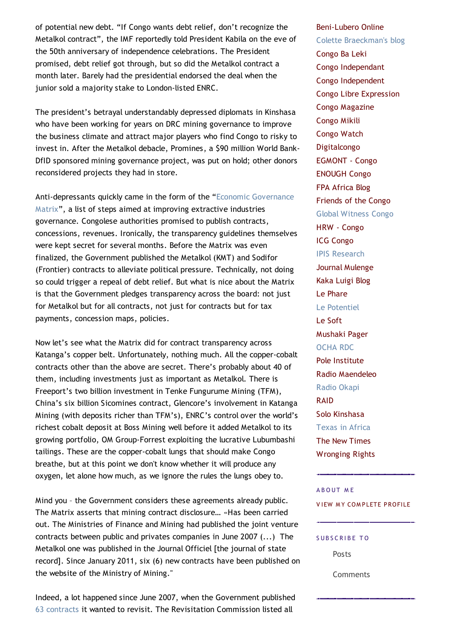of potential new debt. "If Congo wants debt relief, don't recognize the Metalkol contract", the IMF reportedly told President Kabila on the eve of the 50th anniversary of independence celebrations. The President promised, debt relief got through, but so did the Metalkol contract a month later. Barely had the presidential endorsed the deal when the junior sold a majority stake to London-listed ENRC.

The president's betrayal understandably depressed diplomats in Kinshasa who have been working for years on DRC mining governance to improve the business climate and attract major players who find Congo to risky to invest in. After the Metalkol debacle, Promines, a \$90 million World Bank-DfID sponsored mining governance project, was put on hold; other donors reconsidered projects they had in store.

Anti-depressants quickly came in the form of the "Economic Governance Matrix", a list of steps aimed at improving extractive industries governance. Congolese authorities promised to publish contracts, concessions, revenues. Ironically, the transparency guidelines themselves were kept secret for several months. Before the Matrix was even finalized, the Government published the Metalkol (KMT) and Sodifor (Frontier) contracts to alleviate political pressure. Technically, not doing so could trigger a repeal of debt relief. But what is nice about the Matrix is that the Government pledges transparency across the board: not just for Metalkol but for all contracts, not just for contracts but for tax payments, concession maps, policies.

Now let's see what the Matrix did for contract transparency across Katanga's copper belt. Unfortunately, nothing much. All the copper-cobalt contracts other than the above are secret. There's probably about 40 of them, including investments just as important as Metalkol. There is Freeport's two billion investment in Tenke Fungurume Mining (TFM), China's six billion Sicomines contract, Glencore's involvement in Katanga Mining (with deposits richer than TFM's), ENRC's control over the world's richest cobalt deposit at Boss Mining well before it added Metalkol to its growing portfolio, OM Group-Forrest exploiting the lucrative Lubumbashi tailings. These are the copper-cobalt lungs that should make Congo breathe, but at this point we don't know whether it will produce any oxygen, let alone how much, as we ignore the rules the lungs obey to.

Mind you – the Government considers these agreements already public. The Matrix asserts that mining contract disclosure… «Has been carried out. The Ministries of Finance and Mining had published the joint venture contracts between public and privates companies in June 2007 (...) The Metalkol one was published in the Journal Officiel [the journal of state record]. Since January 2011, six (6) new contracts have been published on the website of the Ministry of Mining."

Indeed, a lot happened since June 2007, when the Government published 63 contracts it wanted to revisit. The Revisitation Commission listed all

#### Beni-Lubero Online

Colette Braeckman's blog Congo Ba Leki Congo Independant Congo Independent Congo Libre Expression Congo Magazine Congo Mikili Congo Watch Digitalcongo EGMONT - Congo ENOUGH Congo FPA Africa Blog Friends of the Congo Global Witness Congo HRW - Congo ICG Congo IPIS Research Journal Mulenge Kaka Luigi Blog Le Phare Le Potentiel Le Soft Mushaki Pager OCHA RDC Pole Institute Radio Maendeleo Radio Okapi RAID Solo Kinshasa Texas in Africa The New Times Wronging Rights

#### A B O UT M F

**VIEW MY COMPLETE PROFILE** 

#### SUBSCRIBE TO

Posts

**Comments**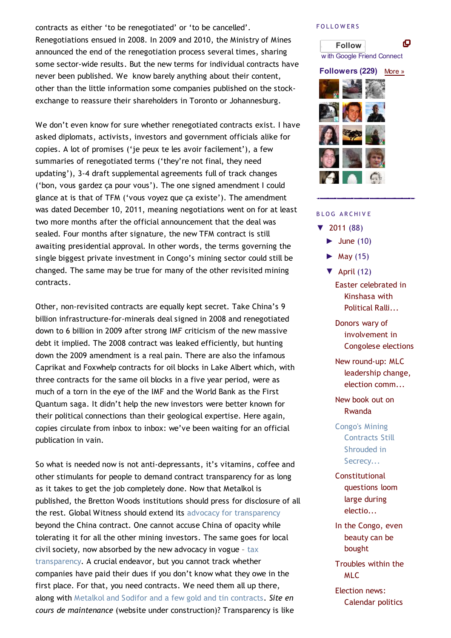contracts as either 'to be renegotiated' or 'to be cancelled'. Renegotiations ensued in 2008. In 2009 and 2010, the Ministry of Mines announced the end of the renegotiation process several times, sharing some sector-wide results. But the new terms for individual contracts have never been published. We know barely anything about their content, other than the little information some companies published on the stockexchange to reassure their shareholders in Toronto or Johannesburg.

We don't even know for sure whether renegotiated contracts exist. I have asked diplomats, activists, investors and government officials alike for copies. A lot of promises ('je peux te les avoir facilement'), a few summaries of renegotiated terms ('they're not final, they need updating'), 3-4 draft supplemental agreements full of track changes ('bon, vous gardez ça pour vous'). The one signed amendment I could glance at is that of TFM ('vous voyez que ça existe'). The amendment was dated December 10, 2011, meaning negotiations went on for at least two more months after the official announcement that the deal was sealed. Four months after signature, the new TFM contract is still awaiting presidential approval. In other words, the terms governing the single biggest private investment in Congo's mining sector could still be changed. The same may be true for many of the other revisited mining contracts.

Other, non-revisited contracts are equally kept secret. Take China's 9 billion infrastructure-for-minerals deal signed in 2008 and renegotiated down to 6 billion in 2009 after strong IMF criticism of the new massive debt it implied. The 2008 contract was leaked efficiently, but hunting down the 2009 amendment is a real pain. There are also the infamous Caprikat and Foxwhelp contracts for oil blocks in Lake Albert which, with three contracts for the same oil blocks in a five year period, were as much of a torn in the eye of the IMF and the World Bank as the First Quantum saga. It didn't help the new investors were better known for their political connections than their geological expertise. Here again, copies circulate from inbox to inbox: we've been waiting for an official publication in vain.

So what is needed now is not anti-depressants, it's vitamins, coffee and other stimulants for people to demand contract transparency for as long as it takes to get the job completely done. Now that Metalkol is published, the Bretton Woods institutions should press for disclosure of all the rest. Global Witness should extend its advocacy for transparency beyond the China contract. One cannot accuse China of opacity while tolerating it for all the other mining investors. The same goes for local civil society, now absorbed by the new advocacy in vogue – tax transparency. A crucial endeavor, but you cannot track whether companies have paid their dues if you don't know what they owe in the first place. For that, you need contracts. We need them all up there, along with Metalkol and Sodifor and a few gold and tin contracts. *Site en cours de maintenance* (website under construction)? Transparency is like

#### **FOLLOWERS**



**Followers (229)** More »



#### B L O G A R C HI V E

- ▼ 2011 (88)
	- $\blacktriangleright$  June (10)
	- $\blacktriangleright$  May (15)
	- $\nabla$  April (12)
		- Easter celebrated in Kinshasa with Political Ralli...

Donors wary of involvement in Congolese elections

New round-up: MLC leadership change, election comm...

New book out on Rwanda

Congo's Mining Contracts Still Shrouded in Secrecy...

**Constitutional** questions loom large during electio...

In the Congo, even beauty can be bought

Troubles within the MLC

Election news: Calendar politics